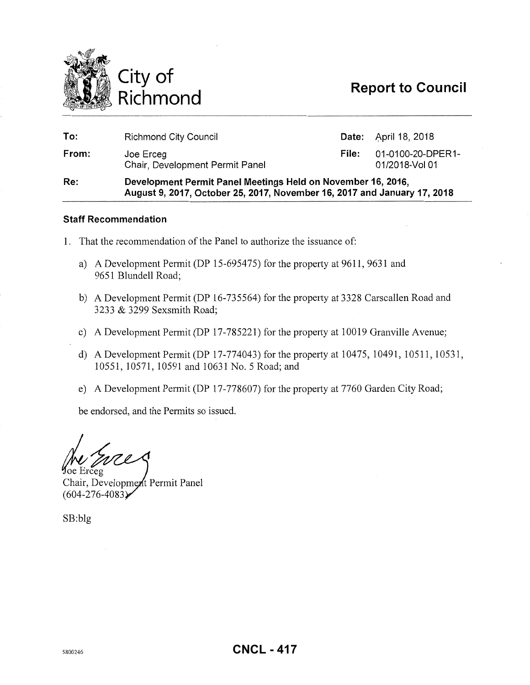

| Re:   | Development Permit Panel Meetings Held on November 16, 2016,<br>August 9, 2017, October 25, 2017, November 16, 2017 and January 17, 2018 |       |                                     |  |
|-------|------------------------------------------------------------------------------------------------------------------------------------------|-------|-------------------------------------|--|
| From: | Joe Erceg<br>Chair, Development Permit Panel                                                                                             | File: | 01-0100-20-DPER1-<br>01/2018-Vol 01 |  |
| To:   | <b>Richmond City Council</b>                                                                                                             |       | <b>Date:</b> April 18, 2018         |  |

### **Staff Recommendation**

- 1. That the recommendation of the Panel to authorize the issuance of:
	- a) A Development Permit (DP 15-695475) for the property at 9611, 9631 and 9651 Blundell Road;
	- b) A Development Permit (DP 16-735564) for the property at 3328 Carscallen Road and 3233 & 3299 Sexsmith Road;
	- c) A Development Permit (DP 17-785221) for the property at 10019 Granville Avenue;
	- d) A Development Permit (DP 17-774043) for the property at 10475, 10491, 10511, 10531, 10551, 10571, 10591 and 10631 No.5 Road; and
	- e) A Development Permit (DP 17-778607) for the property at 7760 Garden City Road;

be endorsed, and the Permits so issued.

**Joe Erceg** 

Chair, Development Permit Panel  $(604 - 276 - 4083)$ 

SB:blg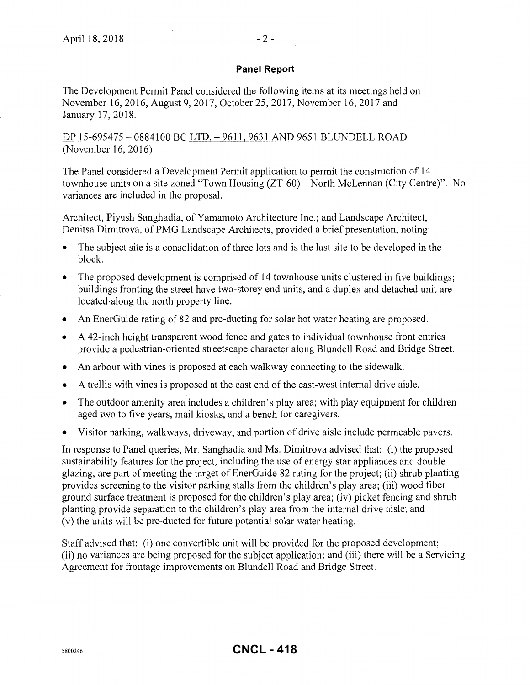### **Panel Report**

The Development Permit Panel considered the following items at its meetings held on November 16,2016, August 9, 2017, October 25, 2017, November 16,2017 and January 17,2018.

DP 15-695475 - 0884100 BC LTD. - 9611, 9631 AND 9651 BLUNDELL ROAD (November 16, 2016)

The Panel considered a Development Permit application to permit the construction of 14 townhouse units on a site zoned "Town Housing (ZT-60)- North McLennan (City Centre)". No variances are included in the proposal.

Architect, Piyush Sanghadia, of Yamamoto Architecture Inc.; and Landscape Architect, Denitsa Dimitrova, of PMG Landscape Architects, provided a brief presentation, noting:

- The subject site is a consolidation of three lots and is the last site to be developed in the block.
- The proposed development is comprised of 14 townhouse units clustered in five buildings; buildings fronting the street have two-storey end units, and a duplex and detached unit are located along the north property line.
- An EnerGuide rating of 82 and pre-ducting for solar hot water heating are proposed.
- A 42-inch height transparent wood fence and gates to individual townhouse front entries provide a pedestrian-oriented streetscape character along Blundell Road and Bridge Street.
- An arbour with vines is proposed at each walkway connecting to the sidewalk.
- A trellis with vines is proposed at the east end of the east-west internal drive aisle.
- The outdoor amenity area includes a children's play area; with play equipment for children aged two to five years, mail kiosks, and a bench for caregivers.
- Visitor parking, walkways, driveway, and portion of drive aisle include permeable pavers.

In response to Panel queries, Mr. Sanghadia and Ms. Dimitrova advised that: (i) the proposed sustainability features for the project, including the use of energy star appliances and double glazing, are part of meeting the target of EnerGuide 82 rating for the project; (ii) shrub planting provides screening to the visitor parking stalls from the children's play area; (iii) wood fiber ground surface treatment is proposed for the children's play area; (iv) picket fencing and shrub planting provide separation to the children's play area from the internal drive aisle; and (v) the units will be pre-ducted for future potential solar water heating.

Staff advised that: (i) one convertible unit will be provided for the proposed development; (ii) no variances are being proposed for the subject application; and (iii) there will be a Servicing Agreement for frontage improvements on Blundell Road and Bridge Street.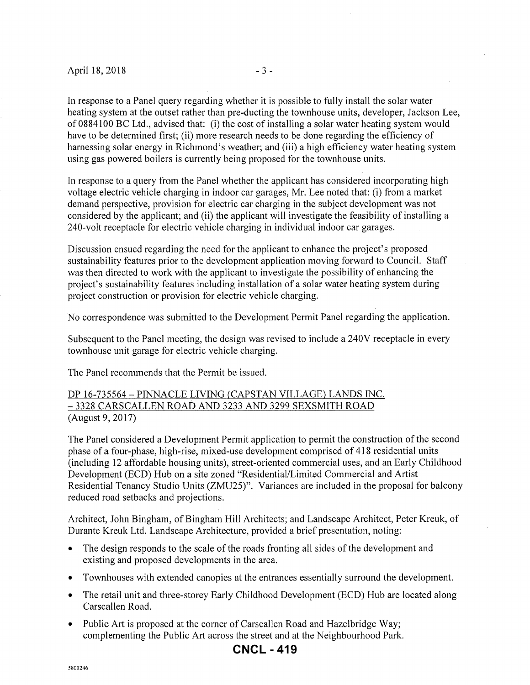In response to a Panel query regarding whether it is possible to fully install the solar water heating system at the outset rather than pre-ducting the townhouse units, developer, Jackson Lee, of 0884100 BC Ltd., advised that: (i) the cost of installing a solar water heating system would have to be determined first; (ii) more research needs to be done regarding the efficiency of harnessing solar energy in Richmond's weather; and (iii) a high efficiency water heating system using gas powered boilers is currently being proposed for the townhouse units.

In response to a query from the Panel whether the applicant has considered incorporating high voltage electric vehicle charging in indoor car garages, Mr. Lee noted that: (i) from a market demand perspective, provision for electric car charging in the subject development was not considered by the applicant; and (ii) the applicant will investigate the feasibility of installing a 240-volt receptacle for electric vehicle charging in individual indoor car garages.

Discussion ensued regarding the need for the applicant to enhance the project's proposed sustainability features prior to the development application moving forward to Council. Staff was then directed to work with the applicant to investigate the possibility of enhancing the project's sustainability features including installation of a solar water heating system during project construction or provision for electric vehicle charging.

No correspondence was submitted to the Development Permit Panel regarding the application.

Subsequent to the Panel meeting, the design was revised to include a 240V receptacle in every townhouse unit garage for electric vehicle charging.

The Panel recommends that the Permit be issued.

### DP 16-735564- PINNACLE LIVING (CAPSTAN VILLAGE) LANDS INC. - 3328 CARSCALLEN ROAD AND 3233 AND 3299 SEXSMITH ROAD (August 9, 2017)

The Panel considered a Development Permit application to permit the construction of the second phase of a four-phase, high-rise, mixed-use development comprised of 418 residential units (including 12 affordable housing units), street-oriented commercial uses, and an Early Childhood Development (ECD) Hub on a site zoned "Residential/Limited Commercial and Artist Residential Tenancy Studio Units (ZMU25)". Variances are included in the proposal for balcony reduced road setbacks and projections.

Architect, John Bingham, of Bingham Hill Architects; and Landscape Architect, Peter Kreuk, of Durante Kreuk Ltd. Landscape Architecture, provided a brief presentation, noting:

- The design responds to the scale of the roads fronting all sides of the development and existing and proposed developments in the area.
- Townhouses with extended canopies at the entrances essentially surround the development.
- The retail unit and three-storey Early Childhood Development (ECD) Hub are located along Carscallen Road.
- Public Art is proposed at the corner of Carscallen Road and Hazelbridge Way; complementing the Public Art across the street and at the Neighbourhood Park.

# **CNCL - 419**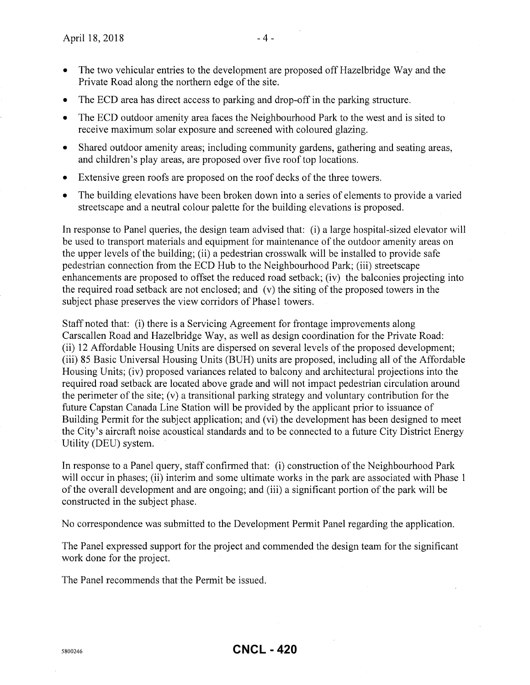- The two vehicular entries to the development are proposed off Hazel bridge Way and the Private Road along the northern edge of the site.
- The ECD area has direct access to parking and drop-off in the parking structure.
- The ECD outdoor amenity area faces the Neighbourhood Park to the west and is sited to receive maximum solar exposure and screened with coloured glazing.
- Shared outdoor amenity areas; including community gardens, gathering and seating areas, and children's play areas, are proposed over five roof top locations.
- Extensive green roofs are proposed on the roof decks of the three towers.
- The building elevations have been broken down into a series of elements to provide a varied streetscape and a neutral colour palette for the building elevations is proposed.

In response to Panel queries, the design team advised that: (i) a large hospital-sized elevator will be used to transport materials and equipment for maintenance of the outdoor amenity areas on the upper levels of the building; (ii) a pedestrian crosswalk will be installed to provide safe pedestrian connection from the ECD Hub to the Neighbourhood Park; (iii) streetscape enhancements are proposed to offset the reduced road setback; (iv) the balconies projecting into the required road setback are not enclosed; and (v) the siting of the proposed towers in the subject phase preserves the view corridors of Phase1 towers.

Staff noted that: (i) there is a Servicing Agreement for frontage improvements along Carscallen Road and Hazelbridge Way, as well as design coordination for the Private Road: (ii) 12 Affordable Housing Units are dispersed on several levels of the proposed development; (iii) 85 Basic Universal Housing Units (BUH) units are proposed, including all of the Affordable Housing Units; (iv) proposed variances related to balcony and architectural projections into the required road setback are located above grade and will not impact pedestrian circulation around the perimeter of the site; (v) a transitional parking strategy and voluntary contribution for the future Capstan Canada Line Station will be provided by the applicant prior to issuance of Building Permit for the subject application; and (vi) the development has been designed to meet the City's aircraft noise acoustical standards and to be connected to a future City District Energy Utility (DEU) system.

In response to a Panel query, staff confirmed that: (i) construction of the Neighbourhood Park will occur in phases; (ii) interim and some ultimate works in the park are associated with Phase 1 ofthe overall development and are ongoing; and (iii) a significant portion of the park will be constructed in the subject phase.

No correspondence was submitted to the Development Permit Panel regarding the application.

The Panel expressed support for the project and commended the design team for the significant work done for the project.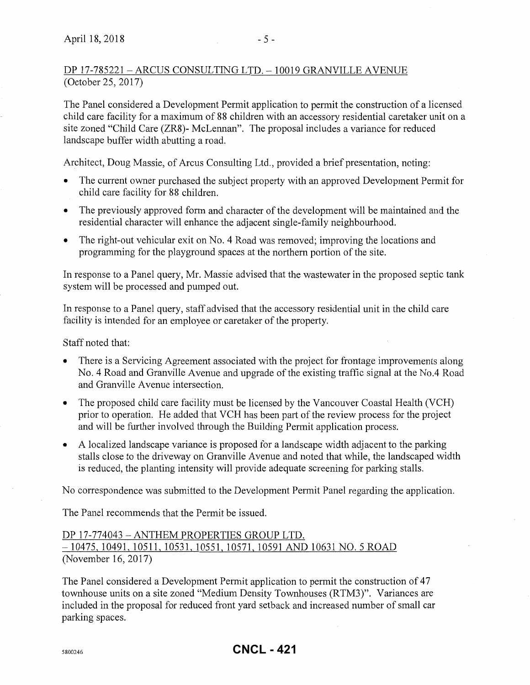# DP 17-785221- ARCUS CONSULTING LTD. -10019 GRANVILLE AVENUE (October 25, 2017)

The Panel considered a Development Permit application to permit the construction of a licensed child care facility for a maximum of 88 children with an accessory residential caretaker unit on a site zoned "Child Care (ZR8)- McLennan". The proposal includes a variance for reduced landscape buffer width abutting a road.

Architect, Doug Massie, of Arcus Consulting Ltd., provided a brief presentation, noting:

- The current owner purchased the subject property with an approved Development Permit for child care facility for 88 children.
- The previously approved form and character of the development will be maintained and the residential character will enhance the adjacent single-family neighbourhood.
- The right-out vehicular exit on No. 4 Road was removed; improving the locations and programming for the playground spaces at the northern portion of the site.

In response to a Panel query, Mr. Massie advised that the wastewater in the proposed septic tank system will be processed and pumped out.

In response to a Panel query, staff advised that the accessory residential unit in the child care facility is intended for an employee or caretaker of the property.

Staff noted that:

- There is a Servicing Agreement associated with the project for frontage improvements along No.4 Road and Granville Avenue and upgrade of the existing traffic signal at the No.4 Road and Granville A venue intersection.
- The proposed child care facility must be licensed by the Vancouver Coastal Health (VCH) prior to operation. He added that VCH has been part of the review process for the project and will be further involved through the Building Permit application process.
- A localized landscape variance is proposed for a landscape width adjacent to the parking stalls close to the driveway on Granville Avenue and noted that while, the landscaped width is reduced, the planting intensity will provide adequate screening for parking stalls.

No correspondence was submitted to the Development Permit Panel regarding the application.

The Panel recommends that the Permit be issued.

# DP 17-774043- ANTHEM PROPERTIES GROUP LTD. -10475, 10491, 10511, 10531, 10551, 10571, 10591 AND 10631 NO.5 ROAD (November 16, 2017)

The Panel considered a Development Permit application to permit the construction of 47 townhouse units on a site zoned "Medium Density Townhouses (RTM3)". Variances are included in the proposal for reduced front yard setback and increased number of small car parking spaces.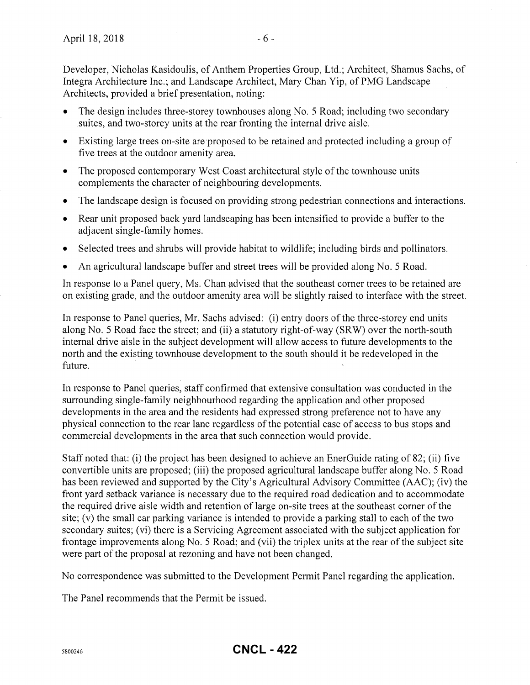Developer, Nicholas Kasidoulis, of Anthem Properties Group, Ltd.; Architect, Shamus Sachs, of Integra Architecture Inc.; and Landscape Architect, Mary Chan Yip, of PMG Landscape Architects, provided a brief presentation, noting:

- The design includes three-storey townhouses along No. 5 Road; including two secondary suites, and two-storey units at the rear fronting the internal drive aisle.
- Existing large trees on-site are proposed to be retained and protected including a group of five trees at the outdoor amenity area.
- The proposed contemporary West Coast architectural style of the townhouse units complements the character of neighbouring developments.
- The landscape design is focused on providing strong pedestrian connections and interactions.
- Rear unit proposed back yard landscaping has been intensified to provide a buffer to the adjacent single-family homes.
- Selected trees and shrubs will provide habitat to wildlife; including birds and pollinators.
- An agricultural landscape buffer and street trees will be provided along No. 5 Road.

In response to a Panel query, Ms. Chan advised that the southeast corner trees to be retained are on existing grade, and the outdoor amenity area will be slightly raised to interface with the street.

In response to Panel queries, Mr. Sachs advised: (i) entry doors of the three-storey end units along No. 5 Road face the street; and (ii) a statutory right-of-way (SRW) over the north-south internal drive aisle in the subject development will allow access to future developments to the north and the existing townhouse development to the south should it be redeveloped in the future.

In response to Panel queries, staff confirmed that extensive consultation was conducted in the surrounding single-family neighbourhood regarding the application and other proposed developments in the area and the residents had expressed strong preference not to have any physical connection to the rear lane regardless of the potential ease of access to bus stops and commercial developments in the area that such connection would provide.

Staff noted that: (i) the project has been designed to achieve an EnerGuide rating of 82; (ii) five convertible units are proposed; (iii) the proposed agricultural landscape buffer along No. 5 Road has been reviewed and supported by the City's Agricultural Advisory Committee (AAC); (iv) the front yard setback variance is necessary due to the required road dedication and to accommodate the required drive aisle width and retention of large on-site trees at the southeast corner of the site; (v) the small car parking variance is intended to provide a parking stall to each of the two secondary suites; (vi) there is a Servicing Agreement associated with the subject application for frontage improvements along No. 5 Road; and (vii) the triplex units at the rear of the subject site were part of the proposal at rezoning and have not been changed.

No correspondence was submitted to the Development Permit Panel regarding the application.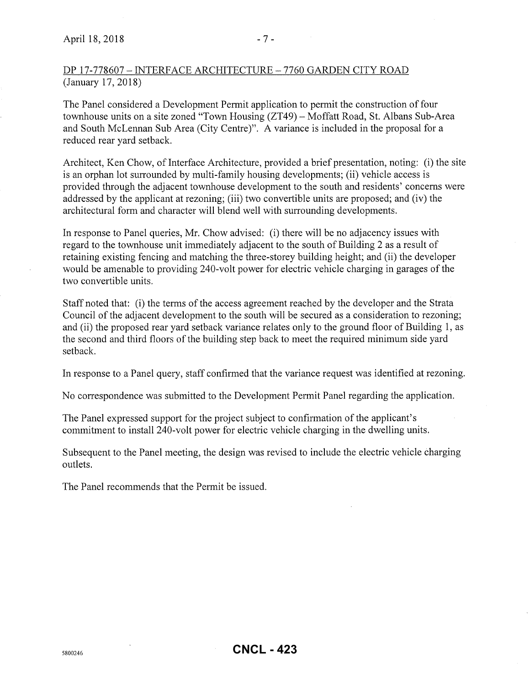# DP 17-778607- INTERFACE ARCHITECTURE- 7760 GARDEN CITY ROAD (January 17, 2018)

The Panel considered a Development Permit application to permit the construction of four townhouse units on a site zoned "Town Housing (ZT49)- Moffatt Road, St. Albans Sub-Area and South McLennan Sub Area (City Centre)". A variance is included in the proposal for a reduced rear yard setback.

Architect, Ken Chow, of Interface Architecture, provided a brief presentation, noting: (i) the site is an orphan lot surrounded by multi-family housing developments; (ii) vehicle access is provided through the adjacent townhouse development to the south and residents' concerns were addressed by the applicant at rezoning; (iii) two convertible units are proposed; and (iv) the architectural form and character will blend well with surrounding developments.

In response to Panel queries, Mr. Chow advised: (i) there will be no adjacency issues with regard to the townhouse unit immediately adjacent to the south of Building 2 as a result of retaining existing fencing and matching the three-storey building height; and (ii) the developer would be amenable to providing 240-volt power for electric vehicle charging in garages of the two convertible units.

Staff noted that: (i) the terms of the access agreement reached by the developer and the Strata Council of the adjacent development to the south will be secured as a consideration to rezoning; and (ii) the proposed rear yard setback variance relates only to the ground floor of Building 1, as the second and third floors of the building step back to meet the required minimum side yard setback.

In response to a Panel query, staff confirmed that the variance request was identified at rezoning.

No correspondence was submitted to the Development Permit Panel regarding the application.

The Panel expressed support for the project subject to confirmation of the applicant's commitment to install 240-volt power for electric vehicle charging in the dwelling units.

Subsequent to the Panel meeting, the design was revised to include the electric vehicle charging outlets.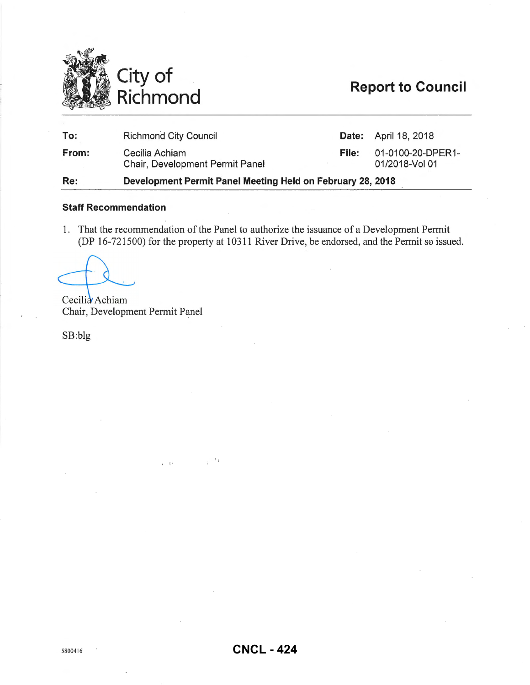

# **Report to Council**

| To:   | <b>Richmond City Council</b>                               |       | <b>Date:</b> April 18, 2018         |
|-------|------------------------------------------------------------|-------|-------------------------------------|
| From: | Cecilia Achiam<br><b>Chair, Development Permit Panel</b>   | File: | 01-0100-20-DPER1-<br>01/2018-Vol 01 |
| Re:   | Development Permit Panel Meeting Held on February 28, 2018 |       |                                     |

# **Staff Recommendation**

1. That the recommendation of the Panel to authorize the issuance of a Development Permit (DP 16-721500) for the property at 10311 River Drive, be endorsed, and the Permit so issued.

Cecilia Achiam Chair, Development Permit Panel

 $\bar{I}=\bar{I}^{\bar{I}}$ 

SB:blg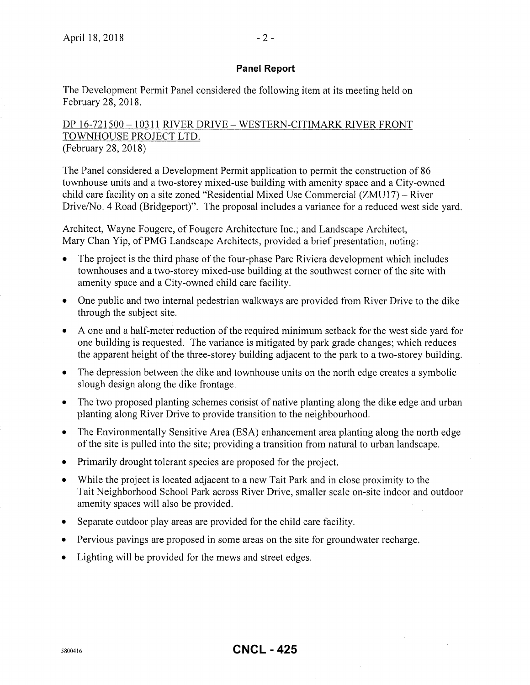### **Panel Report**

The Development Permit Panel considered the following item at its meeting held on February 28,2018.

# DP 16-721500- 10311 RIVER DRIVE- WESTERN-CITIMARK RIVER FRONT TOWNHOUSE PROJECT LTD. (February 28, 2018)

The Panel considered a Development Permit application to permit the construction of 86 townhouse units and a two-storey mixed-use building with amenity space and a City-owned child care facility on a site zoned "Residential Mixed Use Commercial (ZMU17)- River Drive/No. 4 Road (Bridgeport)". The proposal includes a variance for a reduced west side yard.

Architect, Wayne Fougere, of Fougere Architecture Inc.; and Landscape Architect, Mary Chan Yip, of PMG Landscape Architects, provided a brief presentation, noting:

- The project is the third phase of the four-phase Parc Riviera development which includes townhouses and a two-storey mixed-use building at the southwest corner of the site with amenity space and a City-owned child care facility.
- One public and two internal pedestrian walkways are provided from River Drive to the dike through the subject site.
- A one and a half-meter reduction of the required minimum setback for the west side yard for one building is requested. The variance is mitigated by park grade changes; which reduces the apparent height of the three-storey building adjacent to the park to a two-storey building.
- The depression between the dike and townhouse units on the north edge creates a symbolic slough design along the dike frontage.
- The two proposed planting schemes consist of native planting along the dike edge and urban planting along River Drive to provide transition to the neighbourhood.
- The Environmentally Sensitive Area (ESA) enhancement area planting along the north edge of the site is pulled into the site; providing a transition from natural to urban landscape.
- Primarily drought tolerant species are proposed for the project.
- While the project is located adjacent to a new Tait Park and in close proximity to the Tait Neighborhood School Park across River Drive, smaller scale on-site indoor and outdoor amenity spaces will also be provided.
- Separate outdoor play areas are provided for the child care facility.
- Pervious pavings are proposed in some areas on the site for groundwater recharge.
- Lighting will be provided for the mews and street edges.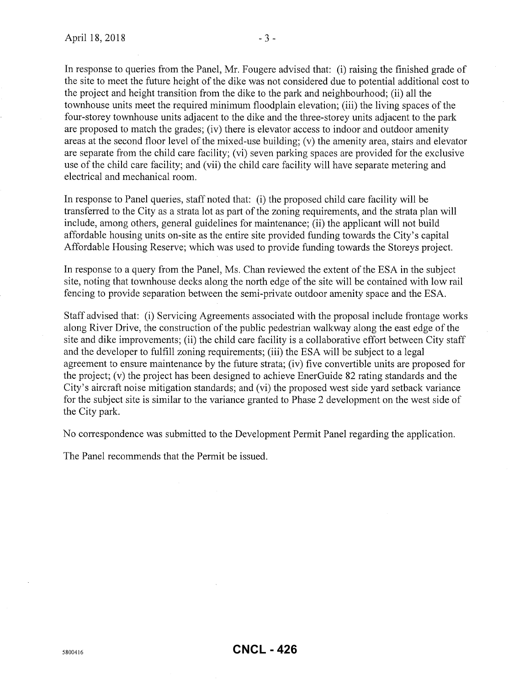In response to queries from the Panel, Mr. Fougere advised that: (i) raising the finished grade of the site to meet the future height of the dike was not considered due to potential additional cost to the project and height transition from the dike to the park and neighbourhood; (ii) all the townhouse units meet the required minimum floodplain elevation; (iii) the living spaces of the four-storey townhouse units adjacent to the dike and the three-storey units adjacent to the park are proposed to match the grades; (iv) there is elevator access to indoor and outdoor amenity areas at the second floor level of the mixed-use building; (v) the amenity area, stairs and elevator are separate from the child care facility; (vi) seven parking spaces are provided for the exclusive use of the child care facility; and (vii) the child care facility will have separate metering and electrical and mechanical room.

In response to Panel queries, staff noted that: (i) the proposed child care facility will be transferred to the City as a strata lot as part of the zoning requirements, and the strata plan will include, among others, general guidelines for maintenance; (ii) the applicant will not build affordable housing units on-site as the entire site provided funding towards the City's capital Affordable Housing Reserve; which was used to provide funding towards the Storeys project.

In response to a query from the Panel, Ms. Chan reviewed the extent of the ESA in the subject site, noting that townhouse decks along the north edge of the site will be contained with low rail fencing to provide separation between the semi-private outdoor amenity space and the ESA.

Staff advised that: (i) Servicing Agreements associated with the proposal include frontage works along River Drive, the construction of the public pedestrian walkway along the east edge of the site and dike improvements; (ii) the child care facility is a collaborative effort between City staff and the developer to fulfill zoning requirements; (iii) the ESA will be subject to a legal agreement to ensure maintenance by the future strata; (iv) five convertible units are proposed for the project; (v) the project has been designed to achieve EnerGuide 82 rating standards and the City's aircraft noise mitigation standards; and (vi) the proposed west side yard setback variance for the subject site is similar to the variance granted to Phase 2 development on the west side of the City park.

No correspondence was submitted to the Development Permit Panel regarding the application.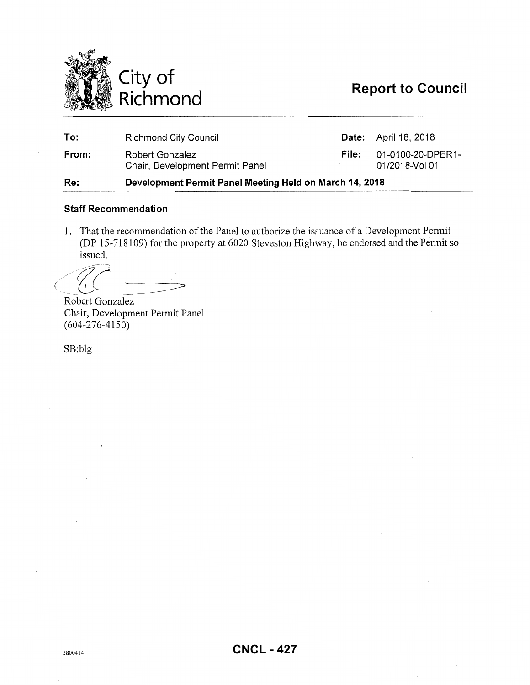

# **Report to Council**

| Re:   | Development Permit Panel Meeting Held on March 14, 2018 |       |                                     |  |
|-------|---------------------------------------------------------|-------|-------------------------------------|--|
| From: | Robert Gonzalez<br>Chair, Development Permit Panel      | File: | 01-0100-20-DPER1-<br>01/2018-Vol 01 |  |
| To:   | <b>Richmond City Council</b>                            |       | <b>Date:</b> April 18, 2018         |  |

### **Staff Recommendation**

1. That the recommendation of the Panel to authorize the issuance of a Development Permit (DP 15-7181 09) for the property at 6020 Steveston Highway, be endorsed and the Permit so issued.

Robert Gonzalez Chair, Development Permit Panel (604-276-4150)

SB:blg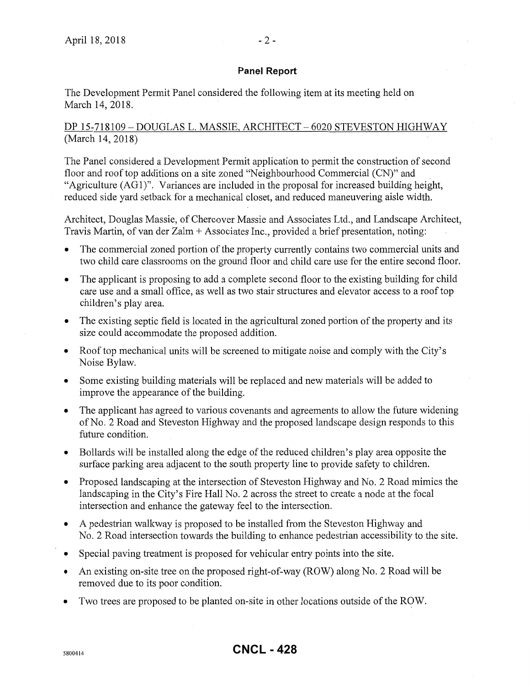### **Panel Report**

The Development Permit Panel considered the following item at its meeting held on March 14, 2018.

# DP 15-718109 - DOUGLAS L. MASSIE, ARCHITECT - 6020 STEVESTON HIGHWAY (March 14, 2018)

The Panel considered a Development Permit application to permit the construction of second floor and roof top additions on a site zoned "Neighbourhood Commercial (CN)" and "Agriculture (AG1)". Variances are included in the proposal for increased building height, reduced side yard setback for a mechanical closet, and reduced maneuvering aisle width.

Architect, Douglas Massie, of Chercover Massie and Associates Ltd., and Landscape Architect, Travis Martin, of van der Zalm +Associates Inc., provided a brief presentation, noting:

- The commercial zoned portion of the property currently contains two commercial units and two child care classrooms on the ground floor and child care use for the entire second floor.
- The applicant is proposing to add a complete second floor to the existing building for child care use and a small office, as well as two stair structures and elevator access to a roof top children's play area.
- The existing septic field is located in the agricultural zoned portion of the property and its size could accommodate the proposed addition.
- Roof top mechanical units will be screened to mitigate noise and comply with the City's Noise Bylaw.
- Some existing building materials will be replaced and new materials will be added to improve the appearance of the building.
- The applicant has agreed to various covenants and agreements to allow the future widening of No.2 Road and Steveston Highway and the proposed landscape design responds to this future condition.
- Bollards will be installed along the edge of the reduced children's play area opposite the surface parking area adjacent to the south property line to provide safety to children.
- Proposed landscaping at the intersection of Steveston Highway and No. 2 Road mimics the landscaping in the City's Fire Hall No. 2 across the street to create a node at the focal intersection and enhance the gateway feel to the intersection.
- A pedestrian walkway is proposed to be installed from the Steveston Highway and No. 2 Road intersection towards the building to enhance pedestrian accessibility to the site.
- Special paving treatment is proposed for vehicular entry points into the site.
- An existing on-site tree on the proposed right-of-way (ROW) along No. 2 Road will be removed due to its poor condition.
- Two trees are proposed to be planted on-site in other locations outside of the ROW.